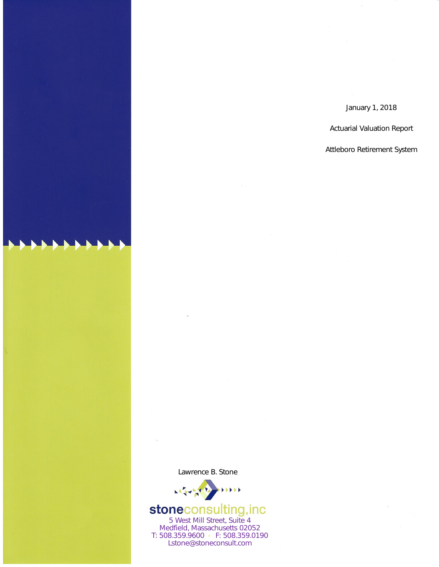January 1, 2018

**Actuarial Valuation Report** 

Attleboro Retirement System

Lawrence B. Stone



# **stoneconsulting, inc**<br>5 West Mill Street, Suite 4

Medfield, Massachusetts 02052 T: 508.359.9600 P. F: 508.359.0190 Lstone@stoneconsult.com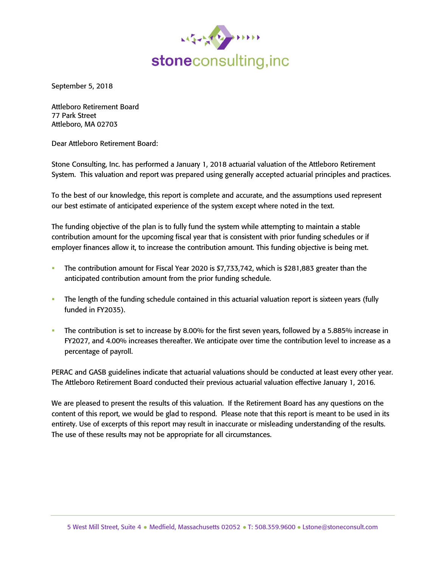

September 5, 2018

Attleboro Retirement Board 77 Park Street Attleboro, MA 02703

Dear Attleboro Retirement Board:

Stone Consulting, Inc. has performed a January 1, 2018 actuarial valuation of the Attleboro Retirement System. This valuation and report was prepared using generally accepted actuarial principles and practices.

To the best of our knowledge, this report is complete and accurate, and the assumptions used represent our best estimate of anticipated experience of the system except where noted in the text.

The funding objective of the plan is to fully fund the system while attempting to maintain a stable contribution amount for the upcoming fiscal year that is consistent with prior funding schedules or if employer finances allow it, to increase the contribution amount. This funding objective is being met.

- The contribution amount for Fiscal Year 2020 is  $$7,733,742$ , which is  $$281,883$  greater than the anticipated contribution amount from the prior funding schedule.
- The length of the funding schedule contained in this actuarial valuation report is sixteen years (fully funded in FY2035).
- The contribution is set to increase by 8.00% for the first seven years, followed by a 5.885% increase in FY2027, and 4.00% increases thereafter. We anticipate over time the contribution level to increase as a percentage of payroll.

PERAC and GASB guidelines indicate that actuarial valuations should be conducted at least every other year. The Attleboro Retirement Board conducted their previous actuarial valuation effective January 1, 2016.

We are pleased to present the results of this valuation. If the Retirement Board has any questions on the content of this report, we would be glad to respond. Please note that this report is meant to be used in its entirety. Use of excerpts of this report may result in inaccurate or misleading understanding of the results. The use of these results may not be appropriate for all circumstances.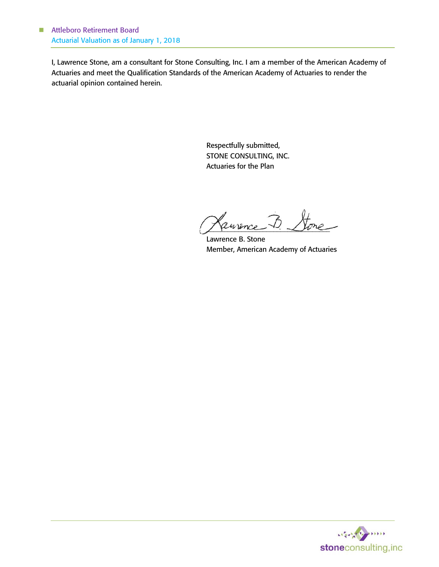I, Lawrence Stone, am a consultant for Stone Consulting, Inc. I am a member of the American Academy of Actuaries and meet the Qualification Standards of the American Academy of Actuaries to render the actuarial opinion contained herein.

> Respectfully submitted, STONE CONSULTING, INC. Actuaries for the Plan

Cannence B. Stone

Lawrence B. Stone Member, American Academy of Actuaries

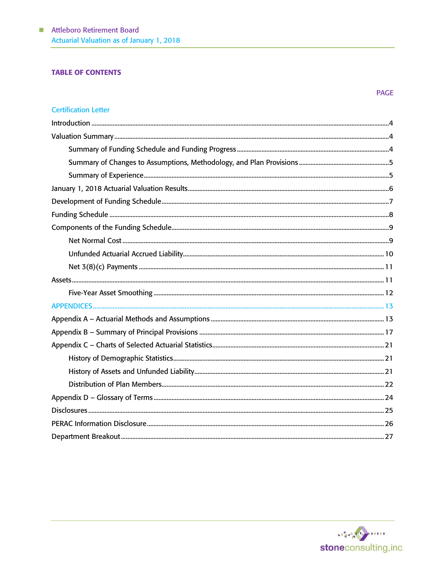## **TABLE OF CONTENTS**

## **Certification Letter**



**PAGE**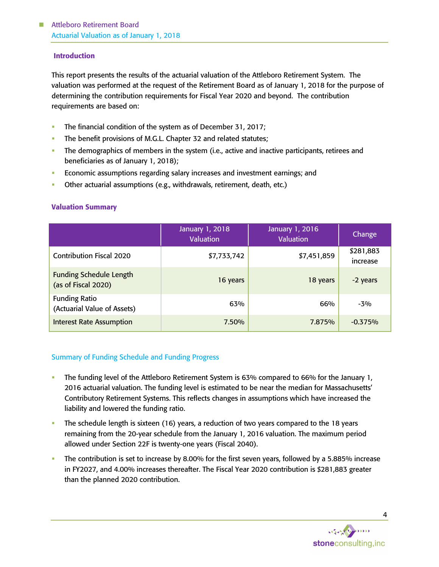## Introduction

This report presents the results of the actuarial valuation of the Attleboro Retirement System. The valuation was performed at the request of the Retirement Board as of January 1, 2018 for the purpose of determining the contribution requirements for Fiscal Year 2020 and beyond. The contribution requirements are based on:

- The financial condition of the system as of December 31, 2017;
- The benefit provisions of M.G.L. Chapter 32 and related statutes;
- **•** The demographics of members in the system (i.e., active and inactive participants, retirees and beneficiaries as of January 1, 2018);
- Economic assumptions regarding salary increases and investment earnings; and
- Other actuarial assumptions (e.g., withdrawals, retirement, death, etc.)

## Valuation Summary

|                                                       | January 1, 2018<br><b>Valuation</b> | January 1, 2016<br><b>Valuation</b> | Change                |
|-------------------------------------------------------|-------------------------------------|-------------------------------------|-----------------------|
| <b>Contribution Fiscal 2020</b>                       | \$7,733,742                         | \$7,451,859                         | \$281,883<br>increase |
| <b>Funding Schedule Length</b><br>(as of Fiscal 2020) | 16 years                            | 18 years                            | -2 years              |
| <b>Funding Ratio</b><br>(Actuarial Value of Assets)   | 63%                                 | 66%                                 | $-3%$                 |
| <b>Interest Rate Assumption</b>                       | 7.50%                               | 7.875%                              | $-0.375%$             |

## Summary of Funding Schedule and Funding Progress

- The funding level of the Attleboro Retirement System is 63% compared to 66% for the January 1, 2016 actuarial valuation. The funding level is estimated to be near the median for Massachusetts' Contributory Retirement Systems. This reflects changes in assumptions which have increased the liability and lowered the funding ratio.
- The schedule length is sixteen (16) years, a reduction of two years compared to the 18 years remaining from the 20-year schedule from the January 1, 2016 valuation. The maximum period allowed under Section 22F is twenty-one years (Fiscal 2040).
- The contribution is set to increase by 8.00% for the first seven years, followed by a 5.885% increase in FY2027, and 4.00% increases thereafter. The Fiscal Year 2020 contribution is \$281,883 greater than the planned 2020 contribution.

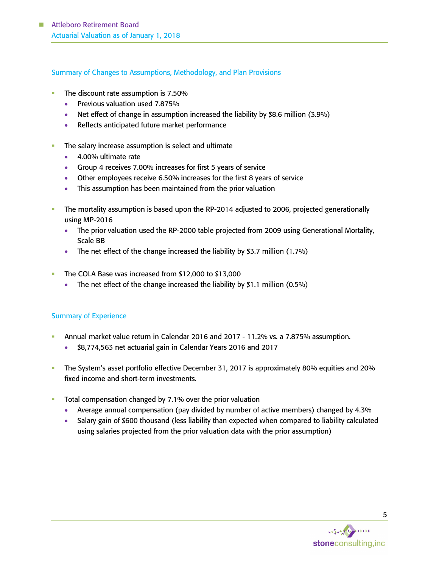## Summary of Changes to Assumptions, Methodology, and Plan Provisions

- The discount rate assumption is 7.50%
	- Previous valuation used 7.875%
	- Net effect of change in assumption increased the liability by \$8.6 million (3.9%)
	- Reflects anticipated future market performance
- The salary increase assumption is select and ultimate
	- 4.00% ultimate rate
	- Group 4 receives 7.00% increases for first 5 years of service
	- Other employees receive 6.50% increases for the first 8 years of service
	- This assumption has been maintained from the prior valuation
- The mortality assumption is based upon the RP-2014 adjusted to 2006, projected generationally using MP-2016
	- The prior valuation used the RP-2000 table projected from 2009 using Generational Mortality, Scale BB
	- The net effect of the change increased the liability by \$3.7 million (1.7%)
- The COLA Base was increased from  $$12,000$  to  $$13,000$ 
	- The net effect of the change increased the liability by \$1.1 million (0.5%)

# Summary of Experience

- Annual market value return in Calendar 2016 and 2017 11.2% vs. a 7.875% assumption.
	- \$8,774,563 net actuarial gain in Calendar Years 2016 and 2017
- The System's asset portfolio effective December 31, 2017 is approximately 80% equities and 20% fixed income and short-term investments.
- Total compensation changed by 7.1% over the prior valuation
	- Average annual compensation (pay divided by number of active members) changed by 4.3%
	- Salary gain of \$600 thousand (less liability than expected when compared to liability calculated using salaries projected from the prior valuation data with the prior assumption)

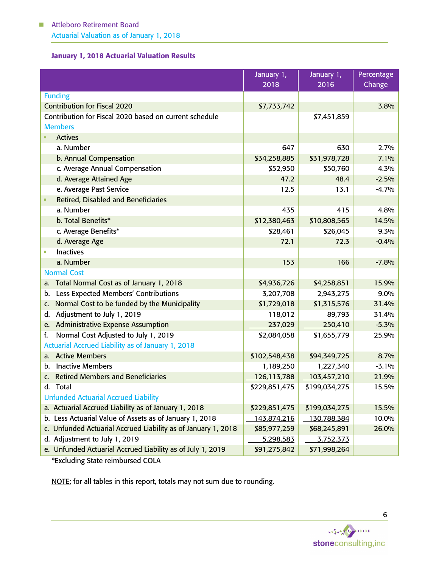# January 1, 2018 Actuarial Valuation Results

|                                                               | January 1,    | January 1,        | Percentage |
|---------------------------------------------------------------|---------------|-------------------|------------|
|                                                               | 2018          | $\overline{2016}$ | Change     |
| <b>Funding</b>                                                |               |                   |            |
| <b>Contribution for Fiscal 2020</b>                           | \$7,733,742   |                   | 3.8%       |
| Contribution for Fiscal 2020 based on current schedule        |               | \$7,451,859       |            |
| <b>Members</b>                                                |               |                   |            |
| <b>Actives</b>                                                |               |                   |            |
| a. Number                                                     | 647           | 630               | 2.7%       |
| b. Annual Compensation                                        | \$34,258,885  | \$31,978,728      | 7.1%       |
| c. Average Annual Compensation                                | \$52,950      | \$50,760          | 4.3%       |
| d. Average Attained Age                                       | 47.2          | 48.4              | $-2.5%$    |
| e. Average Past Service                                       | 12.5          | 13.1              | $-4.7%$    |
| <b>Retired, Disabled and Beneficiaries</b>                    |               |                   |            |
| a. Number                                                     | 435           | 415               | 4.8%       |
| b. Total Benefits*                                            | \$12,380,463  | \$10,808,565      | 14.5%      |
| c. Average Benefits*                                          | \$28,461      | \$26,045          | 9.3%       |
| d. Average Age                                                | 72.1          | 72.3              | $-0.4%$    |
| <b>Inactives</b>                                              |               |                   |            |
| a. Number                                                     | 153           | 166               | $-7.8%$    |
| <b>Normal Cost</b>                                            |               |                   |            |
| Total Normal Cost as of January 1, 2018<br>а.                 | \$4,936,726   | \$4,258,851       | 15.9%      |
| Less Expected Members' Contributions<br>b.                    | 3,207,708     | 2,943,275         | 9.0%       |
| Normal Cost to be funded by the Municipality<br>C.            | \$1,729,018   | \$1,315,576       | 31.4%      |
| Adjustment to July 1, 2019<br>d.                              | 118,012       | 89,793            | 31.4%      |
| e. Administrative Expense Assumption                          | 237,029       | 250,410           | $-5.3%$    |
| Normal Cost Adjusted to July 1, 2019<br>f.                    | \$2,084,058   | \$1,655,779       | 25.9%      |
| Actuarial Accrued Liability as of January 1, 2018             |               |                   |            |
| a. Active Members                                             | \$102,548,438 | \$94,349,725      | 8.7%       |
| <b>Inactive Members</b><br>b.                                 | 1,189,250     | 1,227,340         | $-3.1%$    |
| c. Retired Members and Beneficiaries                          | 126,113,788   | 103,457,210       | 21.9%      |
| Total<br>d.                                                   | \$229,851,475 | \$199,034,275     | 15.5%      |
| <b>Unfunded Actuarial Accrued Liability</b>                   |               |                   |            |
| a. Actuarial Accrued Liability as of January 1, 2018          | \$229,851,475 | \$199,034,275     | 15.5%      |
| b. Less Actuarial Value of Assets as of January 1, 2018       | 143,874,216   | 130,788,384       | 10.0%      |
| c. Unfunded Actuarial Accrued Liability as of January 1, 2018 | \$85,977,259  | \$68,245,891      | 26.0%      |
| d. Adjustment to July 1, 2019                                 | 5,298,583     | 3,752,373         |            |
| e. Unfunded Actuarial Accrued Liability as of July 1, 2019    | \$91,275,842  | \$71,998,264      |            |

\*Excluding State reimbursed COLA

NOTE: for all tables in this report, totals may not sum due to rounding.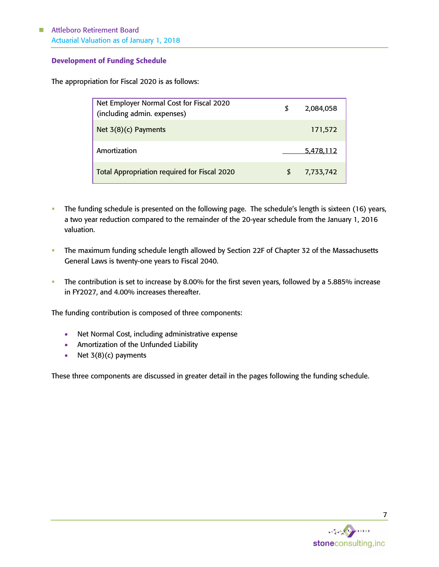# Attleboro Retirement Board Actuarial Valuation as of January 1, 2018

## Development of Funding Schedule

The appropriation for Fiscal 2020 is as follows:

| Net Employer Normal Cost for Fiscal 2020<br>(including admin. expenses) | S | 2,084,058 |
|-------------------------------------------------------------------------|---|-----------|
| Net $3(8)(c)$ Payments                                                  |   | 171,572   |
| Amortization                                                            |   | 5,478,112 |
| Total Appropriation required for Fiscal 2020                            | S | 7,733,742 |

- **•** The funding schedule is presented on the following page. The schedule's length is sixteen (16) years, a two year reduction compared to the remainder of the 20-year schedule from the January 1, 2016 valuation.
- **·** The maximum funding schedule length allowed by Section 22F of Chapter 32 of the Massachusetts General Laws is twenty-one years to Fiscal 2040.
- **·** The contribution is set to increase by 8.00% for the first seven years, followed by a 5.885% increase in FY2027, and 4.00% increases thereafter.

The funding contribution is composed of three components:

- Net Normal Cost, including administrative expense
- Amortization of the Unfunded Liability
- Net  $3(8)(c)$  payments

These three components are discussed in greater detail in the pages following the funding schedule.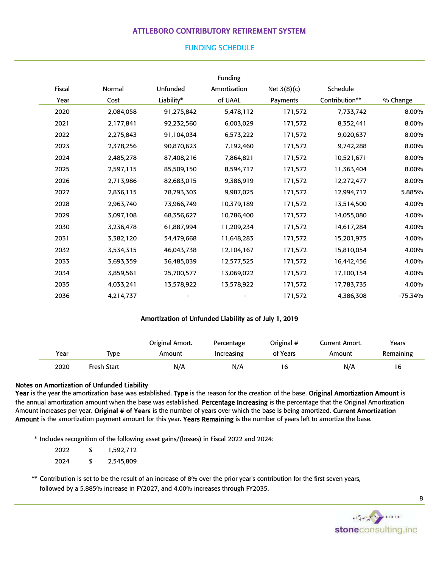# ATTLEBORO CONTRIBUTORY RETIREMENT SYSTEM

## FUNDING SCHEDULE

|        |           |            | Funding      |               |                |           |
|--------|-----------|------------|--------------|---------------|----------------|-----------|
| Fiscal | Normal    | Unfunded   | Amortization | Net $3(8)(c)$ | Schedule       |           |
| Year   | Cost      | Liability* | of UAAL      | Payments      | Contribution** | % Change  |
| 2020   | 2,084,058 | 91,275,842 | 5,478,112    | 171,572       | 7,733,742      | 8.00%     |
| 2021   | 2,177,841 | 92,232,560 | 6,003,029    | 171,572       | 8,352,441      | 8.00%     |
| 2022   | 2,275,843 | 91,104,034 | 6,573,222    | 171,572       | 9,020,637      | 8.00%     |
| 2023   | 2,378,256 | 90,870,623 | 7,192,460    | 171,572       | 9,742,288      | 8.00%     |
| 2024   | 2,485,278 | 87,408,216 | 7,864,821    | 171,572       | 10,521,671     | 8.00%     |
| 2025   | 2,597,115 | 85,509,150 | 8,594,717    | 171,572       | 11,363,404     | 8.00%     |
| 2026   | 2,713,986 | 82,683,015 | 9,386,919    | 171,572       | 12,272,477     | 8.00%     |
| 2027   | 2,836,115 | 78,793,303 | 9,987,025    | 171,572       | 12,994,712     | 5.885%    |
| 2028   | 2,963,740 | 73,966,749 | 10,379,189   | 171,572       | 13,514,500     | 4.00%     |
| 2029   | 3,097,108 | 68,356,627 | 10,786,400   | 171,572       | 14,055,080     | 4.00%     |
| 2030   | 3,236,478 | 61,887,994 | 11,209,234   | 171,572       | 14,617,284     | 4.00%     |
| 2031   | 3,382,120 | 54,479,668 | 11,648,283   | 171,572       | 15,201,975     | 4.00%     |
| 2032   | 3,534,315 | 46,043,738 | 12,104,167   | 171,572       | 15,810,054     | 4.00%     |
| 2033   | 3,693,359 | 36,485,039 | 12,577,525   | 171,572       | 16,442,456     | 4.00%     |
| 2034   | 3,859,561 | 25,700,577 | 13,069,022   | 171,572       | 17,100,154     | 4.00%     |
| 2035   | 4,033,241 | 13,578,922 | 13,578,922   | 171,572       | 17,783,735     | 4.00%     |
| 2036   | 4,214,737 |            |              | 171,572       | 4,386,308      | $-75.34%$ |

#### Amortization of Unfunded Liability as of July 1, 2019

|      |             | Original Amort. | Percentage | Original # | Current Amort. | Years     |
|------|-------------|-----------------|------------|------------|----------------|-----------|
| Year | Tvpe        | Amount          | Increasing | of Years   | Amount         | Remaining |
| 2020 | Fresh Start | N/A             | N/A        | 16         | N/A            | 16        |

#### Notes on Amortization of Unfunded Liability

Year is the year the amortization base was established. Type is the reason for the creation of the base. Original Amortization Amount is the annual amortization amount when the base was established. Percentage Increasing is the percentage that the Original Amortization Amount increases per year. Original # of Years is the number of years over which the base is being amortized. Current Amortization Amount is the amortization payment amount for this year. Years Remaining is the number of years left to amortize the base.

\* Includes recognition of the following asset gains/(losses) in Fiscal 2022 and 2024:

| 2022 | \$<br>1,592,712 |
|------|-----------------|
| 2024 | \$<br>2,545,809 |

\*\* Contribution is set to be the result of an increase of 8% over the prior year's contribution for the first seven years, followed by a 5.885% increase in FY2027, and 4.00% increases through FY2035.



8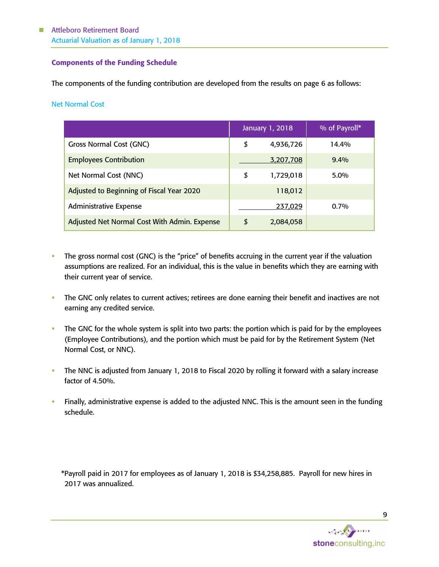## Components of the Funding Schedule

The components of the funding contribution are developed from the results on page 6 as follows:

## Net Normal Cost

|                                              | January 1, 2018 | % of Payroll* |
|----------------------------------------------|-----------------|---------------|
| Gross Normal Cost (GNC)                      | \$<br>4,936,726 | 14.4%         |
| <b>Employees Contribution</b>                | 3,207,708       | $9.4\%$       |
| Net Normal Cost (NNC)                        | \$<br>1,729,018 | $5.0\%$       |
| Adjusted to Beginning of Fiscal Year 2020    | 118,012         |               |
| <b>Administrative Expense</b>                | 237,029         | $0.7\%$       |
| Adjusted Net Normal Cost With Admin. Expense | \$<br>2,084,058 |               |

- The gross normal cost (GNC) is the "price" of benefits accruing in the current year if the valuation assumptions are realized. For an individual, this is the value in benefits which they are earning with their current year of service.
- The GNC only relates to current actives; retirees are done earning their benefit and inactives are not earning any credited service.
- The GNC for the whole system is split into two parts: the portion which is paid for by the employees (Employee Contributions), and the portion which must be paid for by the Retirement System (Net Normal Cost, or NNC).
- **The NNC is adjusted from January 1, 2018 to Fiscal 2020 by rolling it forward with a salary increase** factor of 4.50%.
- Finally, administrative expense is added to the adjusted NNC. This is the amount seen in the funding schedule.

\*Payroll paid in 2017 for employees as of January 1, 2018 is \$34,258,885. Payroll for new hires in 2017 was annualized.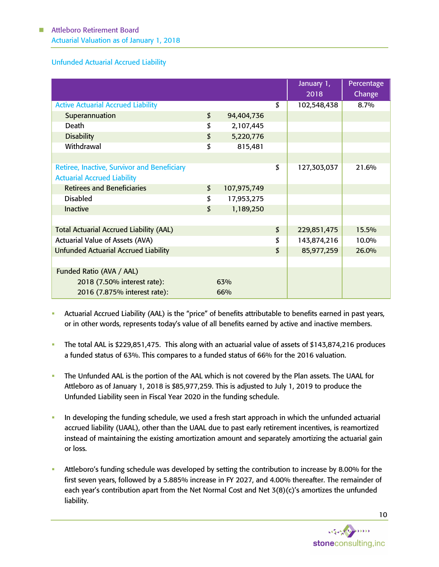■ Attleboro Retirement Board Actuarial Valuation as of January 1, 2018

## Unfunded Actuarial Accrued Liability

|                                                    |                   | January 1,<br>2018 | Percentage<br>Change |
|----------------------------------------------------|-------------------|--------------------|----------------------|
| <b>Active Actuarial Accrued Liability</b>          |                   | \$<br>102,548,438  | 8.7%                 |
| Superannuation                                     | \$<br>94,404,736  |                    |                      |
| Death                                              | \$<br>2,107,445   |                    |                      |
| <b>Disability</b>                                  | \$<br>5,220,776   |                    |                      |
| Withdrawal                                         | \$<br>815,481     |                    |                      |
|                                                    |                   |                    |                      |
| <b>Retiree, Inactive, Survivor and Beneficiary</b> |                   | \$<br>127,303,037  | 21.6%                |
| <b>Actuarial Accrued Liability</b>                 |                   |                    |                      |
| <b>Retirees and Beneficiaries</b>                  | \$<br>107,975,749 |                    |                      |
| <b>Disabled</b>                                    | \$<br>17,953,275  |                    |                      |
| <b>Inactive</b>                                    | \$<br>1,189,250   |                    |                      |
|                                                    |                   |                    |                      |
| <b>Total Actuarial Accrued Liability (AAL)</b>     |                   | \$<br>229,851,475  | 15.5%                |
| <b>Actuarial Value of Assets (AVA)</b>             |                   | \$<br>143,874,216  | 10.0%                |
| <b>Unfunded Actuarial Accrued Liability</b>        |                   | \$<br>85,977,259   | 26.0%                |
|                                                    |                   |                    |                      |
| Funded Ratio (AVA / AAL)                           |                   |                    |                      |
| 2018 (7.50% interest rate):                        | 63%               |                    |                      |
| 2016 (7.875% interest rate):                       | 66%               |                    |                      |

- Actuarial Accrued Liability (AAL) is the "price" of benefits attributable to benefits earned in past years, or in other words, represents today's value of all benefits earned by active and inactive members.
- The total AAL is \$229,851,475. This along with an actuarial value of assets of \$143,874,216 produces a funded status of 63%. This compares to a funded status of 66% for the 2016 valuation.
- The Unfunded AAL is the portion of the AAL which is not covered by the Plan assets. The UAAL for Attleboro as of January 1, 2018 is \$85,977,259. This is adjusted to July 1, 2019 to produce the Unfunded Liability seen in Fiscal Year 2020 in the funding schedule.
- **•** In developing the funding schedule, we used a fresh start approach in which the unfunded actuarial accrued liability (UAAL), other than the UAAL due to past early retirement incentives, is reamortized instead of maintaining the existing amortization amount and separately amortizing the actuarial gain or loss.
- Attleboro's funding schedule was developed by setting the contribution to increase by 8.00% for the first seven years, followed by a 5.885% increase in FY 2027, and 4.00% thereafter. The remainder of each year's contribution apart from the Net Normal Cost and Net 3(8)(c)'s amortizes the unfunded liability.

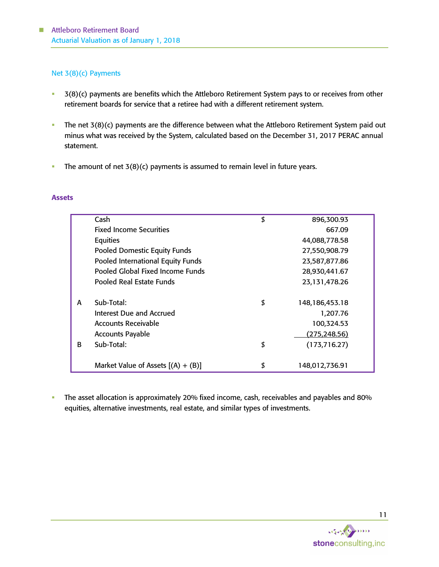# Net 3(8)(c) Payments

- 3(8)(c) payments are benefits which the Attleboro Retirement System pays to or receives from other retirement boards for service that a retiree had with a different retirement system.
- **•** The net 3(8)(c) payments are the difference between what the Attleboro Retirement System paid out minus what was received by the System, calculated based on the December 31, 2017 PERAC annual statement.
- **•** The amount of net  $3(8)(c)$  payments is assumed to remain level in future years.

#### Assets

|   | Cash                                 | \$<br>896,300.93        |  |
|---|--------------------------------------|-------------------------|--|
|   | <b>Fixed Income Securities</b>       | 667.09                  |  |
|   | Equities                             | 44,088,778.58           |  |
|   | <b>Pooled Domestic Equity Funds</b>  | 27,550,908.79           |  |
|   | Pooled International Equity Funds    | 23,587,877.86           |  |
|   | Pooled Global Fixed Income Funds     | 28,930,441.67           |  |
|   | Pooled Real Estate Funds             | 23,131,478.26           |  |
|   |                                      |                         |  |
| A | Sub-Total:                           | \$<br>148, 186, 453. 18 |  |
|   | Interest Due and Accrued             | 1,207.76                |  |
|   | Accounts Receivable                  | 100,324.53              |  |
|   | <b>Accounts Payable</b>              | <u>(275,248.56)</u>     |  |
| R | Sub-Total:                           | \$<br>(173, 716.27)     |  |
|   |                                      |                         |  |
|   | Market Value of Assets $[(A) + (B)]$ | \$<br>148,012,736.91    |  |

**·** The asset allocation is approximately 20% fixed income, cash, receivables and payables and 80% equities, alternative investments, real estate, and similar types of investments.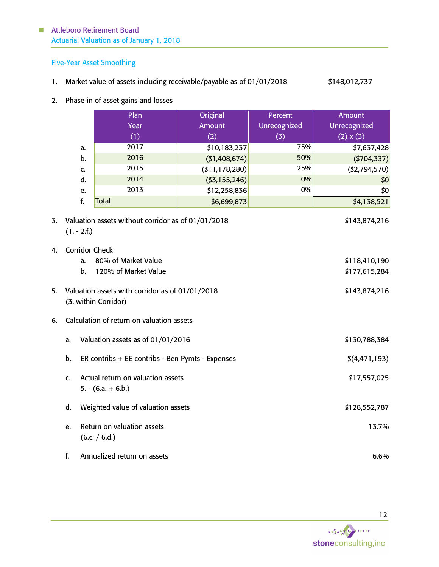# ■ Attleboro Retirement Board Actuarial Valuation as of January 1, 2018

# Five-Year Asset Smoothing

- 1. Market value of assets including receivable/payable as of 01/01/2018 \$148,012,737
- 2. Phase-in of asset gains and losses

|    |                                                                                          | Plan                                             | <b>Original</b>   | Percent      | <b>Amount</b>                  |  |  |  |
|----|------------------------------------------------------------------------------------------|--------------------------------------------------|-------------------|--------------|--------------------------------|--|--|--|
|    |                                                                                          | Year                                             | Amount            | Unrecognized | Unrecognized                   |  |  |  |
|    |                                                                                          | (1)                                              | (2)               | (3)          | (2) x (3)                      |  |  |  |
|    | a.                                                                                       | 2017                                             | \$10,183,237      | 75%          | \$7,637,428                    |  |  |  |
|    | b.                                                                                       | 2016                                             | (\$1,408,674)     | 50%          | ( \$704, 337)                  |  |  |  |
|    | C.                                                                                       | 2015                                             | ( \$11, 178, 280) | 25%          | ( \$2,794,570)                 |  |  |  |
|    | d.                                                                                       | 2014                                             | ( \$3,155,246)    | 0%           | \$0                            |  |  |  |
|    | e.                                                                                       | 2013                                             | \$12,258,836      | 0%           | \$0                            |  |  |  |
|    | f.                                                                                       | <b>Total</b>                                     | \$6,699,873       |              | \$4,138,521                    |  |  |  |
| 3. | Valuation assets without corridor as of 01/01/2018<br>\$143,874,216<br>$(1. - 2.f.)$     |                                                  |                   |              |                                |  |  |  |
| 4. | <b>Corridor Check</b>                                                                    | 80% of Market Value                              |                   |              |                                |  |  |  |
|    | a.<br>b.                                                                                 | 120% of Market Value                             |                   |              | \$118,410,190<br>\$177,615,284 |  |  |  |
|    |                                                                                          |                                                  |                   |              |                                |  |  |  |
| 5. | Valuation assets with corridor as of 01/01/2018<br>\$143,874,216<br>(3. within Corridor) |                                                  |                   |              |                                |  |  |  |
| 6. |                                                                                          | Calculation of return on valuation assets        |                   |              |                                |  |  |  |
|    | a.                                                                                       | Valuation assets as of 01/01/2016                |                   |              | \$130,788,384                  |  |  |  |
|    | b.                                                                                       | ER contribs + EE contribs - Ben Pymts - Expenses |                   |              | \$(4, 471, 193)                |  |  |  |
|    | Actual return on valuation assets<br>\$17,557,025<br>c.<br>$5. - (6.a. + 6.b.)$          |                                                  |                   |              |                                |  |  |  |
|    | d.                                                                                       | Weighted value of valuation assets               |                   |              | \$128,552,787                  |  |  |  |
|    | e.                                                                                       | Return on valuation assets<br>(6.c. / 6.d.)      |                   |              | 13.7%                          |  |  |  |
|    | f.                                                                                       | Annualized return on assets                      |                   |              | 6.6%                           |  |  |  |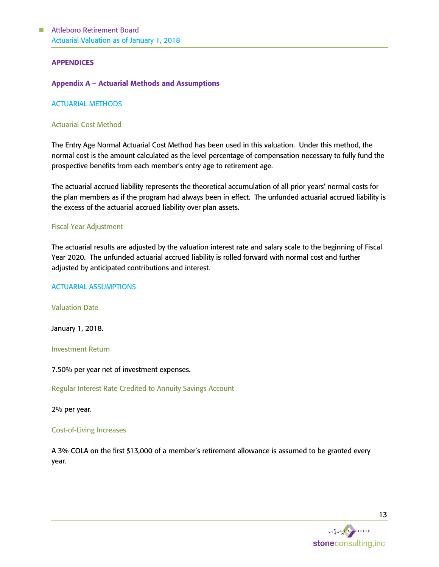#### APPENDICES

#### Appendix A – Actuarial Methods and Assumptions

#### ACTUARIAL METHODS

#### Actuarial Cost Method

The Entry Age Normal Actuarial Cost Method has been used in this valuation. Under this method, the normal cost is the amount calculated as the level percentage of compensation necessary to fully fund the prospective benefits from each member's entry age to retirement age.

The actuarial accrued liability represents the theoretical accumulation of all prior years' normal costs for the plan members as if the program had always been in effect. The unfunded actuarial accrued liability is the excess of the actuarial accrued liability over plan assets.

#### Fiscal Year Adjustment

The actuarial results are adjusted by the valuation interest rate and salary scale to the beginning of Fiscal Year 2020. The unfunded actuarial accrued liability is rolled forward with normal cost and further adjusted by anticipated contributions and interest.

#### ACTUARIAL ASSUMPTIONS

Valuation Date

January 1, 2018.

Investment Return

7.50% per year net of investment expenses.

Regular Interest Rate Credited to Annuity Savings Account

2% per year.

#### Cost-of-Living Increases

A 3% COLA on the first \$13,000 of a member's retirement allowance is assumed to be granted every year.

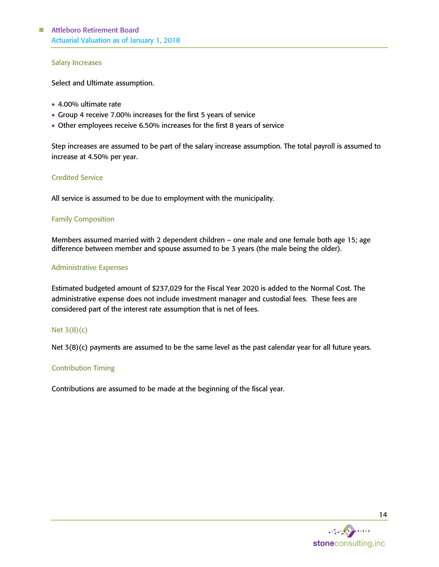#### Salary Increases

Select and Ultimate assumption.

- 4.00% ultimate rate
- Group 4 receive 7.00% increases for the first 5 years of service
- Other employees receive 6.50% increases for the first 8 years of service

Step increases are assumed to be part of the salary increase assumption. The total payroll is assumed to increase at 4.50% per year.

## Credited Service

All service is assumed to be due to employment with the municipality.

## Family Composition

Members assumed married with 2 dependent children – one male and one female both age 15; age difference between member and spouse assumed to be 3 years (the male being the older).

## Administrative Expenses

Estimated budgeted amount of \$237,029 for the Fiscal Year 2020 is added to the Normal Cost. The administrative expense does not include investment manager and custodial fees. These fees are considered part of the interest rate assumption that is net of fees.

# Net 3(8)(c)

Net 3(8)(c) payments are assumed to be the same level as the past calendar year for all future years.

# Contribution Timing

Contributions are assumed to be made at the beginning of the fiscal year.

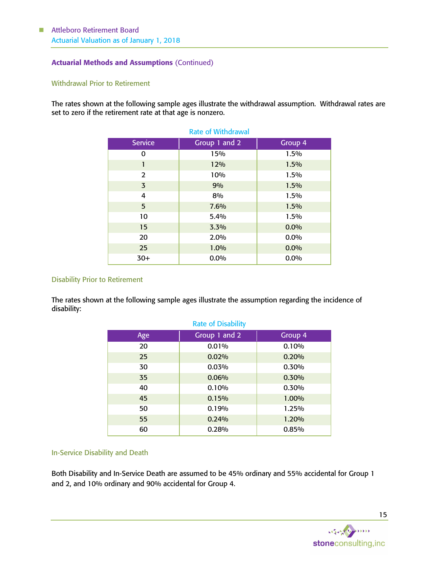## Actuarial Methods and Assumptions (Continued)

## Withdrawal Prior to Retirement

The rates shown at the following sample ages illustrate the withdrawal assumption. Withdrawal rates are set to zero if the retirement rate at that age is nonzero.

| <b>Rate of Withdrawal</b> |               |         |  |  |  |
|---------------------------|---------------|---------|--|--|--|
| <b>Service</b>            | Group 1 and 2 | Group 4 |  |  |  |
| 0                         | 15%           | 1.5%    |  |  |  |
| 1                         | 12%           | 1.5%    |  |  |  |
| 2                         | 10%           | 1.5%    |  |  |  |
| $\overline{3}$            | 9%            | 1.5%    |  |  |  |
| 4                         | 8%            | 1.5%    |  |  |  |
| 5                         | 7.6%          | 1.5%    |  |  |  |
| 10                        | 5.4%          | 1.5%    |  |  |  |
| 15                        | 3.3%          | 0.0%    |  |  |  |
| 20                        | 2.0%          | 0.0%    |  |  |  |
| 25                        | 1.0%          | 0.0%    |  |  |  |
| $30+$                     | 0.0%          | 0.0%    |  |  |  |

#### Disability Prior to Retirement

The rates shown at the following sample ages illustrate the assumption regarding the incidence of disability:

| <b>Rate of Disability</b> |               |         |  |  |  |  |
|---------------------------|---------------|---------|--|--|--|--|
| Age                       | Group 1 and 2 | Group 4 |  |  |  |  |
| 20                        | 0.01%         | 0.10%   |  |  |  |  |
| 25                        | 0.02%         | 0.20%   |  |  |  |  |
| 30                        | 0.03%         | 0.30%   |  |  |  |  |
| 35                        | 0.06%         | 0.30%   |  |  |  |  |
| 40                        | 0.10%         | 0.30%   |  |  |  |  |
| 45                        | 0.15%         | 1.00%   |  |  |  |  |
| 50                        | 0.19%         | 1.25%   |  |  |  |  |
| 55                        | 0.24%         | 1.20%   |  |  |  |  |
| 60                        | 0.28%         | 0.85%   |  |  |  |  |

## In-Service Disability and Death

Both Disability and In-Service Death are assumed to be 45% ordinary and 55% accidental for Group 1 and 2, and 10% ordinary and 90% accidental for Group 4.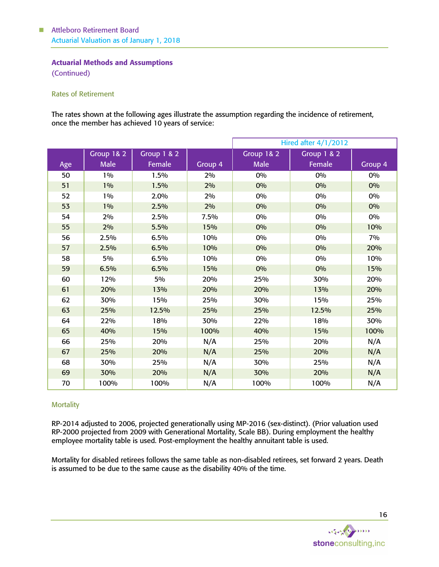## Actuarial Methods and Assumptions

(Continued)

## Rates of Retirement

The rates shown at the following ages illustrate the assumption regarding the incidence of retirement, once the member has achieved 10 years of service:

|     |             |                        |         | <b>Hired after 4/1/2012</b> |             |         |  |
|-----|-------------|------------------------|---------|-----------------------------|-------------|---------|--|
|     | Group 1& 2  | <b>Group 1 &amp; 2</b> |         | Group 1& 2                  | Group 1 & 2 |         |  |
| Age | <b>Male</b> | Female                 | Group 4 | Male                        | Female      | Group 4 |  |
| 50  | 1%          | 1.5%                   | 2%      | 0%                          | 0%          | 0%      |  |
| 51  | 1%          | 1.5%                   | 2%      | 0%                          | 0%          | 0%      |  |
| 52  | 1%          | 2.0%                   | 2%      | 0%                          | 0%          | 0%      |  |
| 53  | $1\%$       | 2.5%                   | 2%      | 0%                          | 0%          | 0%      |  |
| 54  | 2%          | 2.5%                   | 7.5%    | 0%                          | 0%          | 0%      |  |
| 55  | 2%          | 5.5%                   | 15%     | 0%                          | 0%          | 10%     |  |
| 56  | 2.5%        | 6.5%                   | 10%     | 0%                          | 0%          | 7%      |  |
| 57  | 2.5%        | 6.5%                   | 10%     | 0%                          | 0%          | 20%     |  |
| 58  | 5%          | 6.5%                   | 10%     | 0%                          | 0%          | 10%     |  |
| 59  | 6.5%        | 6.5%                   | 15%     | 0%                          | 0%          | 15%     |  |
| 60  | 12%         | 5%                     | 20%     | 25%                         | 30%         | 20%     |  |
| 61  | 20%         | 13%                    | 20%     | 20%                         | 13%         | 20%     |  |
| 62  | 30%         | 15%                    | 25%     | 30%                         | 15%         | 25%     |  |
| 63  | 25%         | 12.5%                  | 25%     | 25%                         | 12.5%       | 25%     |  |
| 64  | 22%         | 18%                    | 30%     | 22%                         | 18%         | 30%     |  |
| 65  | 40%         | 15%                    | 100%    | 40%                         | 15%         | 100%    |  |
| 66  | 25%         | 20%                    | N/A     | 25%                         | 20%         | N/A     |  |
| 67  | 25%         | 20%                    | N/A     | 25%                         | 20%         | N/A     |  |
| 68  | 30%         | 25%                    | N/A     | 30%                         | 25%         | N/A     |  |
| 69  | 30%         | 20%                    | N/A     | 30%                         | 20%         | N/A     |  |
| 70  | 100%        | 100%                   | N/A     | 100%                        | 100%        | N/A     |  |

## **Mortality**

RP-2014 adjusted to 2006, projected generationally using MP-2016 (sex-distinct). (Prior valuation used RP-2000 projected from 2009 with Generational Mortality, Scale BB). During employment the healthy employee mortality table is used. Post-employment the healthy annuitant table is used.

Mortality for disabled retirees follows the same table as non-disabled retirees, set forward 2 years. Death is assumed to be due to the same cause as the disability 40% of the time.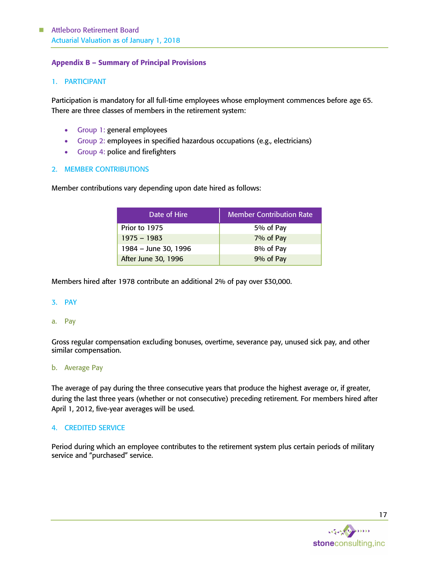## Appendix B – Summary of Principal Provisions

## 1. PARTICIPANT

Participation is mandatory for all full-time employees whose employment commences before age 65. There are three classes of members in the retirement system:

- Group 1: general employees
- Group 2: employees in specified hazardous occupations (e.g., electricians)
- Group 4: police and firefighters

## 2. MEMBER CONTRIBUTIONS

Member contributions vary depending upon date hired as follows:

| Date of Hire         | <b>Member Contribution Rate</b> |
|----------------------|---------------------------------|
| Prior to 1975        | 5% of Pay                       |
| $1975 - 1983$        | 7% of Pay                       |
| 1984 - June 30, 1996 | 8% of Pay                       |
| After June 30, 1996  | 9% of Pay                       |

Members hired after 1978 contribute an additional 2% of pay over \$30,000.

## 3. PAY

a. Pay

Gross regular compensation excluding bonuses, overtime, severance pay, unused sick pay, and other similar compensation.

#### b. Average Pay

The average of pay during the three consecutive years that produce the highest average or, if greater, during the last three years (whether or not consecutive) preceding retirement. For members hired after April 1, 2012, five-year averages will be used.

## 4. CREDITED SERVICE

Period during which an employee contributes to the retirement system plus certain periods of military service and "purchased" service.

17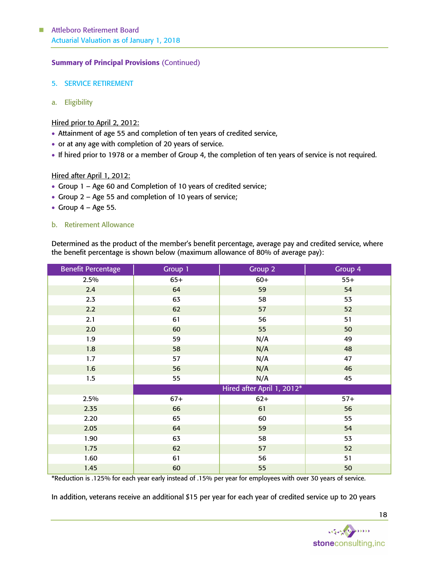## Summary of Principal Provisions (Continued)

- 5. SERVICE RETIREMENT
- a. Eligibility

## Hired prior to April 2, 2012:

- Attainment of age 55 and completion of ten years of credited service,
- or at any age with completion of 20 years of service.
- If hired prior to 1978 or a member of Group 4, the completion of ten years of service is not required.

## Hired after April 1, 2012:

- Group 1 Age 60 and Completion of 10 years of credited service;
- Group 2 Age 55 and completion of 10 years of service;
- Group  $4 Age 55$ .

## b. Retirement Allowance

Determined as the product of the member's benefit percentage, average pay and credited service, where the benefit percentage is shown below (maximum allowance of 80% of average pay):

| <b>Benefit Percentage</b> | Group 1 | Group 2                    | Group 4 |
|---------------------------|---------|----------------------------|---------|
| 2.5%                      | $65+$   | $60+$                      | $55+$   |
| 2.4                       | 64      | 59                         | 54      |
| 2.3                       | 63      | 58                         | 53      |
| 2.2                       | 62      | 57                         | 52      |
| 2.1                       | 61      | 56                         | 51      |
| 2.0                       | 60      | 55                         | 50      |
| 1.9                       | 59      | N/A                        | 49      |
| 1.8                       | 58      | N/A                        | 48      |
| 1.7                       | 57      | N/A                        | 47      |
| 1.6                       | 56      | N/A                        | 46      |
| 1.5                       | 55      | N/A                        | 45      |
|                           |         | Hired after April 1, 2012* |         |
| 2.5%                      | $67+$   | $62+$                      | $57+$   |
| 2.35                      | 66      | 61                         | 56      |
| 2.20                      | 65      | 60                         | 55      |
| 2.05                      | 64      | 59                         | 54      |
| 1.90                      | 63      | 58                         | 53      |
| 1.75                      | 62      | 57                         | 52      |
| 1.60                      | 61      | 56                         | 51      |
| 1.45                      | 60      | 55                         | 50      |

\*Reduction is .125% for each year early instead of .15% per year for employees with over 30 years of service.

In addition, veterans receive an additional \$15 per year for each year of credited service up to 20 years

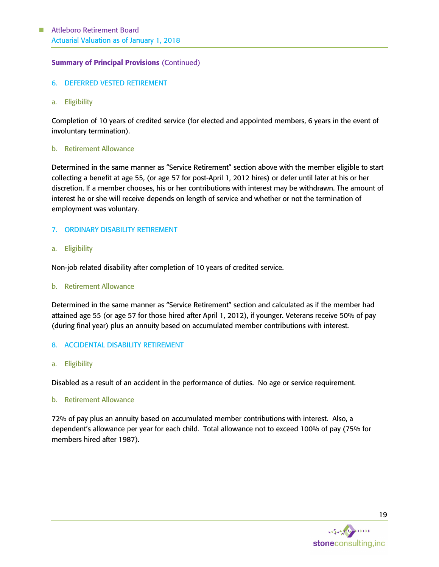## Summary of Principal Provisions (Continued)

- 6. DEFERRED VESTED RETIREMENT
- a. Eligibility

Completion of 10 years of credited service (for elected and appointed members, 6 years in the event of involuntary termination).

#### b. Retirement Allowance

Determined in the same manner as "Service Retirement" section above with the member eligible to start collecting a benefit at age 55, (or age 57 for post-April 1, 2012 hires) or defer until later at his or her discretion. If a member chooses, his or her contributions with interest may be withdrawn. The amount of interest he or she will receive depends on length of service and whether or not the termination of employment was voluntary.

## 7. ORDINARY DISABILITY RETIREMENT

#### a. Eligibility

Non-job related disability after completion of 10 years of credited service.

#### b. Retirement Allowance

Determined in the same manner as "Service Retirement" section and calculated as if the member had attained age 55 (or age 57 for those hired after April 1, 2012), if younger. Veterans receive 50% of pay (during final year) plus an annuity based on accumulated member contributions with interest.

#### 8. ACCIDENTAL DISABILITY RETIREMENT

a. Eligibility

Disabled as a result of an accident in the performance of duties. No age or service requirement.

#### b. Retirement Allowance

72% of pay plus an annuity based on accumulated member contributions with interest. Also, a dependent's allowance per year for each child. Total allowance not to exceed 100% of pay (75% for members hired after 1987).

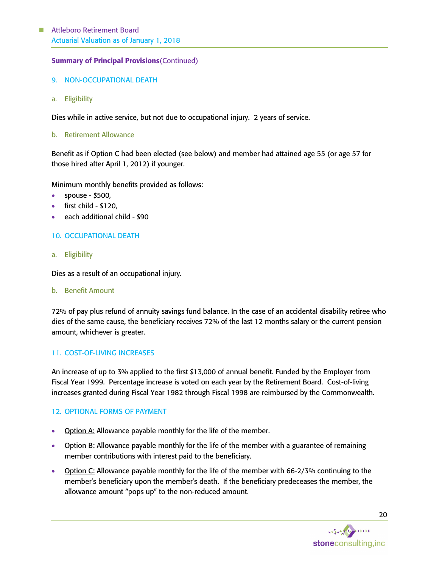## Summary of Principal Provisions(Continued)

- 9. NON-OCCUPATIONAL DEATH
- a. Eligibility

Dies while in active service, but not due to occupational injury. 2 years of service.

b. Retirement Allowance

Benefit as if Option C had been elected (see below) and member had attained age 55 (or age 57 for those hired after April 1, 2012) if younger.

Minimum monthly benefits provided as follows:

- spouse  $$500$ ,
- first child \$120,
- each additional child \$90

## 10. OCCUPATIONAL DEATH

a. Eligibility

Dies as a result of an occupational injury.

b. Benefit Amount

72% of pay plus refund of annuity savings fund balance. In the case of an accidental disability retiree who dies of the same cause, the beneficiary receives 72% of the last 12 months salary or the current pension amount, whichever is greater.

## 11. COST-OF-LIVING INCREASES

An increase of up to 3% applied to the first \$13,000 of annual benefit. Funded by the Employer from Fiscal Year 1999. Percentage increase is voted on each year by the Retirement Board. Cost-of-living increases granted during Fiscal Year 1982 through Fiscal 1998 are reimbursed by the Commonwealth.

## 12. OPTIONAL FORMS OF PAYMENT

- **Option A: Allowance payable monthly for the life of the member.**
- **Option B:** Allowance payable monthly for the life of the member with a guarantee of remaining member contributions with interest paid to the beneficiary.
- Option C: Allowance payable monthly for the life of the member with 66-2/3% continuing to the member's beneficiary upon the member's death. If the beneficiary predeceases the member, the allowance amount "pops up" to the non-reduced amount.

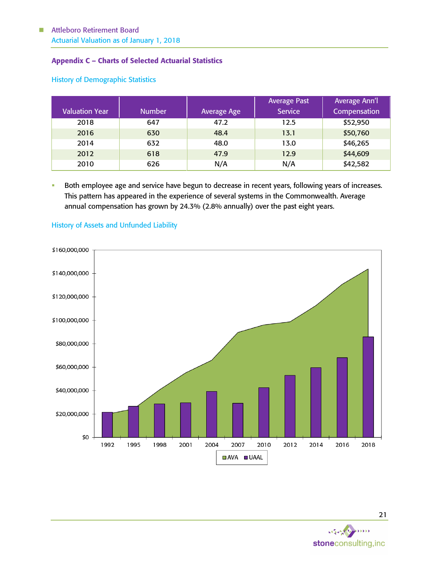# Appendix C – Charts of Selected Actuarial Statistics

| <b>Valuation Year</b> | <b>Number</b> | <b>Average Age</b> | <b>Average Past</b><br><b>Service</b> | <b>Average Ann'l</b><br>Compensation |
|-----------------------|---------------|--------------------|---------------------------------------|--------------------------------------|
| 2018                  | 647           | 47.2               | 12.5                                  | \$52,950                             |
| 2016                  | 630           | 48.4               | 13.1                                  | \$50,760                             |
| 2014                  | 632           | 48.0               | 13.0                                  | \$46,265                             |
| 2012                  | 618           | 47.9               | 12.9                                  | \$44,609                             |
| 2010                  | 626           | N/A                | N/A                                   | \$42,582                             |

## History of Demographic Statistics

Both employee age and service have begun to decrease in recent years, following years of increases. This pattern has appeared in the experience of several systems in the Commonwealth. Average annual compensation has grown by 24.3% (2.8% annually) over the past eight years.



## History of Assets and Unfunded Liability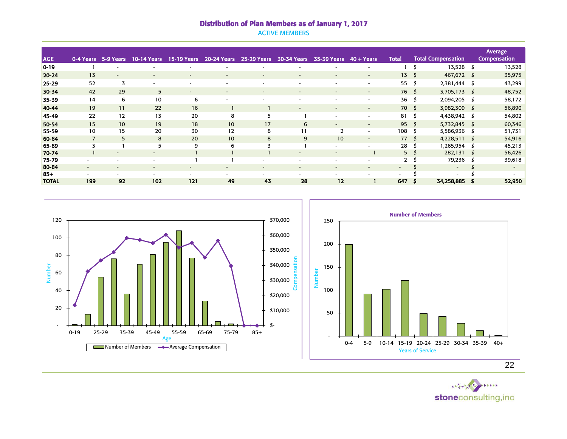## Distribution of Plan Members as of January 1, 2017

ACTIVE MEMBERS

|              |                          |           |                          |                          |                          |                          |                          |                          |                          |                          |                |                           | Average,            |
|--------------|--------------------------|-----------|--------------------------|--------------------------|--------------------------|--------------------------|--------------------------|--------------------------|--------------------------|--------------------------|----------------|---------------------------|---------------------|
| <b>AGE</b>   | 0-4 Years                | 5-9 Years | <b>10-14 Years</b>       | <b>15-19 Years</b>       | 20-24 Years              | <b>25-29 Years</b>       | <b>30-34 Years</b>       | 35-39 Years              | $40 + Years$             | <b>Total</b>             |                | <b>Total Compensation</b> | <b>Compensation</b> |
| $0 - 19$     |                          |           |                          |                          |                          |                          |                          |                          |                          |                          |                | 13,528 \$                 | 13,528              |
| 20-24        | 13                       |           | ٠                        | ۰                        | $\overline{\phantom{a}}$ | $\overline{\phantom{a}}$ |                          | $\overline{\phantom{a}}$ | $\overline{\phantom{a}}$ | $13 \quad$               |                | 467,672 \$                | 35,975              |
| $25 - 29$    | 52                       | 3         | ۰                        | ۰                        |                          | $\overline{\phantom{a}}$ | $\overline{\phantom{a}}$ | $\overline{\phantom{a}}$ | $\overline{\phantom{a}}$ | 55                       | - 55           | 2,381,444 \$              | 43,299              |
| 30-34        | 42                       | 29        | 5 <sup>5</sup>           | $\sim$                   | $\overline{\phantom{a}}$ | $\overline{\phantom{a}}$ | $\overline{\phantom{0}}$ | $\overline{\phantom{a}}$ | $\overline{\phantom{a}}$ | 76 \$                    |                | $3,705,173$ \$            | 48,752              |
| 35-39        | 14                       | 6         | 10                       | 6                        |                          | ۰.                       |                          |                          | $\overline{\phantom{0}}$ | $36 \quad$               |                | 2,094,205 \$              | 58,172              |
| 40-44        | 19                       | 11        | 22                       | 16                       |                          |                          | $\overline{\phantom{a}}$ |                          | $\overline{\phantom{a}}$ | 70 <sub>5</sub>          |                | 3,982,309 \$              | 56,890              |
| 45-49        | 22                       | 12        | 13                       | 20                       | 8                        | 5                        |                          | $\overline{\phantom{a}}$ | $\overline{\phantom{a}}$ | $81 \quad$ \$            |                | 4,438,942 \$              | 54,802              |
| 50-54        | 15                       | 10        | 19                       | 18                       | 10                       | 17                       | 6                        | $\overline{\phantom{a}}$ | $\sim$                   | 95                       |                | 5,732,845 \$              | 60,346              |
| 55-59        | 10                       | 15        | 20                       | 30                       | 12                       | 8                        | 11                       | $\overline{2}$           | $\overline{\phantom{0}}$ | 108                      |                | 5,586,936 \$              | 51,731              |
| 60-64        | $\overline{7}$           | 5         | 8                        | 20                       | 10                       | 8                        | 9                        | 10                       | $\sim$                   | 77S                      |                | $4,228,511$ \$            | 54,916              |
| 65-69        | 3                        |           | 5                        | 9                        | 6                        | 3                        |                          | $\overline{\phantom{a}}$ | $\overline{\phantom{a}}$ | 28                       | - 55           | 1,265,954 \$              | 45,213              |
| 70-74        |                          |           | -                        |                          |                          |                          |                          |                          |                          |                          | 5 <sub>5</sub> | $282,131$ \$              | 56,426              |
| 75-79        | ٠                        |           | ٠                        |                          |                          | $\overline{\phantom{a}}$ |                          |                          | -                        | $\mathbf{2}$             | - 55           | 79,236 \$                 | 39,618              |
| 80-84        | $\overline{\phantom{a}}$ | $\sim$    | $\overline{\phantom{a}}$ | $\sim$                   | $\overline{\phantom{a}}$ | $\overline{\phantom{a}}$ | $\overline{\phantom{a}}$ | $\overline{\phantom{a}}$ | $\overline{\phantom{a}}$ | $\overline{\phantom{a}}$ |                | $\sim$                    | $\sim$              |
| $85+$        | $\overline{\phantom{a}}$ |           | $\overline{\phantom{a}}$ | $\overline{\phantom{a}}$ | $\overline{\phantom{a}}$ | $\overline{\phantom{a}}$ | $\overline{\phantom{0}}$ | ۰                        |                          | $\overline{\phantom{a}}$ |                | ٠                         |                     |
| <b>TOTAL</b> | 199                      | 92        | 102                      | 121                      | 49                       | 43                       | 28                       | 12                       |                          | 647                      |                | 34,258,885                | 52,950              |



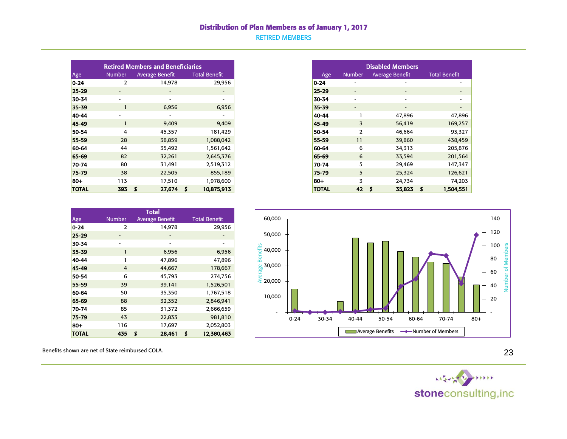## Distribution of Plan Members as of January 1, 2017

RETIRED MEMBERS

|              |                          | <b>Retired Members and Beneficiaries</b> |                          |
|--------------|--------------------------|------------------------------------------|--------------------------|
| Age          | <b>Number</b>            | <b>Average Benefit</b>                   | <b>Total Benefit</b>     |
| $0 - 24$     | $\overline{2}$           | 14,978                                   | 29,956                   |
| $25 - 29$    | $\overline{\phantom{a}}$ | $\sim$                                   | $\overline{\phantom{a}}$ |
| 30-34        | ۰                        | ۰                                        | $\overline{\phantom{0}}$ |
| 35-39        |                          | 6,956                                    | 6,956                    |
| 40-44        | ٠                        | ۰                                        | -                        |
| 45-49        |                          | 9,409                                    | 9,409                    |
| 50-54        | 4                        | 45,357                                   | 181,429                  |
| 55-59        | 28                       | 38,859                                   | 1,088,042                |
| 60-64        | 44                       | 35,492                                   | 1,561,642                |
| 65-69        | 82                       | 32,261                                   | 2,645,376                |
| 70-74        | 80                       | 31,491                                   | 2,519,312                |
| 75-79        | 38                       | 22,505                                   | 855,189                  |
| 80+          | 113                      | 17,510                                   | 1,978,600                |
| <b>TOTAL</b> | 393                      | $27,674$ \$<br>s                         | 10,875,913               |

| <b>Disabled Members</b> |                |                        |                      |  |  |  |  |  |  |
|-------------------------|----------------|------------------------|----------------------|--|--|--|--|--|--|
| Age                     | <b>Number</b>  | <b>Average Benefit</b> | <b>Total Benefit</b> |  |  |  |  |  |  |
| 0-24                    |                |                        |                      |  |  |  |  |  |  |
| $25 - 29$               |                |                        |                      |  |  |  |  |  |  |
| 30-34                   |                |                        |                      |  |  |  |  |  |  |
| 35-39                   |                |                        |                      |  |  |  |  |  |  |
| 40-44                   | 1              | 47,896                 | 47,896               |  |  |  |  |  |  |
| 45-49                   | 3              | 56,419                 | 169,257              |  |  |  |  |  |  |
| 50-54                   | $\overline{2}$ | 46,664                 | 93,327               |  |  |  |  |  |  |
| 55-59                   | 11             | 39,860                 | 438,459              |  |  |  |  |  |  |
| 60-64                   | 6              | 34,313                 | 205,876              |  |  |  |  |  |  |
| 65-69                   | 6              | 33,594                 | 201,564              |  |  |  |  |  |  |
| 70-74                   | 5              | 29,469                 | 147,347              |  |  |  |  |  |  |
| 75-79                   | 5              | 25,324                 | 126,621              |  |  |  |  |  |  |
| 80+                     | 3              | 24,734                 | 74,203               |  |  |  |  |  |  |
| <b>TOTAL</b>            | 42             | 35,823<br>S            | \$<br>1,504,551      |  |  |  |  |  |  |

| <b>Total</b> |               |    |                        |   |                      |  |  |  |  |
|--------------|---------------|----|------------------------|---|----------------------|--|--|--|--|
| Age          | <b>Number</b> |    | <b>Average Benefit</b> |   | <b>Total Benefit</b> |  |  |  |  |
| $0 - 24$     | $\mathcal{P}$ |    | 14,978                 |   | 29,956               |  |  |  |  |
| $25 - 29$    |               |    |                        |   |                      |  |  |  |  |
| 30-34        |               |    |                        |   |                      |  |  |  |  |
| 35-39        | 1             |    | 6,956                  |   | 6,956                |  |  |  |  |
| 40-44        | 1             |    | 47,896                 |   | 47,896               |  |  |  |  |
| 45-49        | 4             |    | 44,667                 |   | 178,667              |  |  |  |  |
| 50-54        | 6             |    | 45,793                 |   | 274,756              |  |  |  |  |
| 55-59        | 39            |    | 39,141                 |   | 1,526,501            |  |  |  |  |
| 60-64        | 50            |    | 35,350                 |   | 1,767,518            |  |  |  |  |
| 65-69        | 88            |    | 32,352                 |   | 2,846,941            |  |  |  |  |
| 70-74        | 85            |    | 31,372                 |   | 2,666,659            |  |  |  |  |
| 75-79        | 43            |    | 22,833                 |   | 981,810              |  |  |  |  |
| $80 +$       | 116           |    | 17,697                 |   | 2,052,803            |  |  |  |  |
| <b>TOTAL</b> | 435           | \$ | 28,461                 | Ś | 12,380,463           |  |  |  |  |

 60,000 140 120 50,000 100 Number of Members Number of Members Average Benefits 40,000 80 30,000 60  $\frac{2}{3}$  20,000 40 10,000 20 - - 0-24 30-34 40-44 50-54 60-64 70-74 80+ Average Benefits **Number of Members** 

Benefits shown are net of State reimbursed COLA.

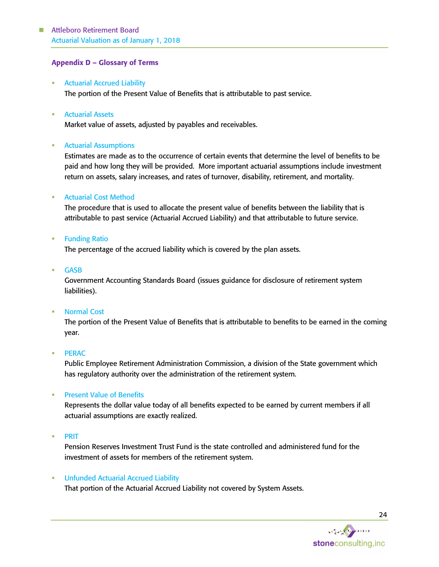# Attleboro Retirement Board Actuarial Valuation as of January 1, 2018

## Appendix D – Glossary of Terms

- **Actuarial Accrued Liability** The portion of the Present Value of Benefits that is attributable to past service.
- **Actuarial Assets**

Market value of assets, adjusted by payables and receivables.

## **■** Actuarial Assumptions

Estimates are made as to the occurrence of certain events that determine the level of benefits to be paid and how long they will be provided. More important actuarial assumptions include investment return on assets, salary increases, and rates of turnover, disability, retirement, and mortality.

## **Actuarial Cost Method**

The procedure that is used to allocate the present value of benefits between the liability that is attributable to past service (Actuarial Accrued Liability) and that attributable to future service.

**Funding Ratio** 

The percentage of the accrued liability which is covered by the plan assets.

**GASB** 

Government Accounting Standards Board (issues guidance for disclosure of retirement system liabilities).

## ▪ Normal Cost

The portion of the Present Value of Benefits that is attributable to benefits to be earned in the coming year.

## **PERAC**

Public Employee Retirement Administration Commission, a division of the State government which has regulatory authority over the administration of the retirement system.

## **Present Value of Benefits**

Represents the dollar value today of all benefits expected to be earned by current members if all actuarial assumptions are exactly realized.

▪ PRIT

Pension Reserves Investment Trust Fund is the state controlled and administered fund for the investment of assets for members of the retirement system.

## **• Unfunded Actuarial Accrued Liability**

That portion of the Actuarial Accrued Liability not covered by System Assets.

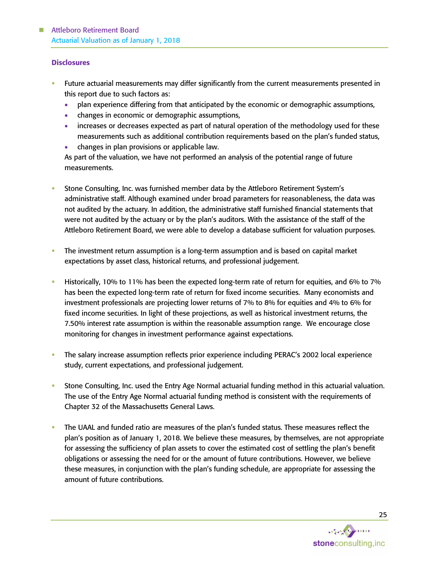#### **Disclosures**

- Future actuarial measurements may differ significantly from the current measurements presented in this report due to such factors as:
	- plan experience differing from that anticipated by the economic or demographic assumptions,
	- changes in economic or demographic assumptions,
	- increases or decreases expected as part of natural operation of the methodology used for these measurements such as additional contribution requirements based on the plan's funded status,
	- changes in plan provisions or applicable law.

As part of the valuation, we have not performed an analysis of the potential range of future measurements.

- Stone Consulting, Inc. was furnished member data by the Attleboro Retirement System's administrative staff. Although examined under broad parameters for reasonableness, the data was not audited by the actuary. In addition, the administrative staff furnished financial statements that were not audited by the actuary or by the plan's auditors. With the assistance of the staff of the Attleboro Retirement Board, we were able to develop a database sufficient for valuation purposes.
- **•** The investment return assumption is a long-term assumption and is based on capital market expectations by asset class, historical returns, and professional judgement.
- Historically, 10% to 11% has been the expected long-term rate of return for equities, and 6% to 7% has been the expected long-term rate of return for fixed income securities. Many economists and investment professionals are projecting lower returns of 7% to 8% for equities and 4% to 6% for fixed income securities. In light of these projections, as well as historical investment returns, the 7.50% interest rate assumption is within the reasonable assumption range. We encourage close monitoring for changes in investment performance against expectations.
- The salary increase assumption reflects prior experience including PERAC's 2002 local experience study, current expectations, and professional judgement.
- **•** Stone Consulting, Inc. used the Entry Age Normal actuarial funding method in this actuarial valuation. The use of the Entry Age Normal actuarial funding method is consistent with the requirements of Chapter 32 of the Massachusetts General Laws.
- The UAAL and funded ratio are measures of the plan's funded status. These measures reflect the plan's position as of January 1, 2018. We believe these measures, by themselves, are not appropriate for assessing the sufficiency of plan assets to cover the estimated cost of settling the plan's benefit obligations or assessing the need for or the amount of future contributions. However, we believe these measures, in conjunction with the plan's funding schedule, are appropriate for assessing the amount of future contributions.

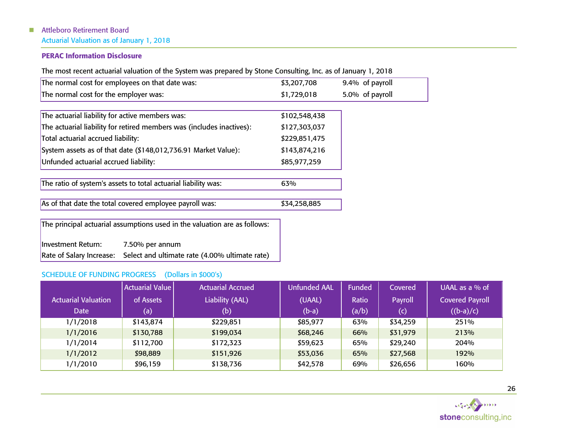# ■ Attleboro Retirement Board Actuarial Valuation as of January 1, 2018

# PERAC Information Disclosure

The most recent actuarial valuation of the System was prepared by Stone Consulting, Inc. as of January 1, 2018

| The normal cost for employees on that date was: | \$3,207,708 | 9.4% of payroll |
|-------------------------------------------------|-------------|-----------------|
| The normal cost for the employer was:           | \$1,729,018 | 5.0% of payroll |
|                                                 |             |                 |

| The actuarial liability for active members was:                       | \$102,548,438 |
|-----------------------------------------------------------------------|---------------|
| The actuarial liability for retired members was (includes inactives): | \$127,303,037 |
| Total actuarial accrued liability:                                    | \$229,851,475 |
| System assets as of that date (\$148,012,736.91 Market Value):        | \$143,874,216 |
| Unfunded actuarial accrued liability:                                 | \$85,977,259  |

The ratio of system's assets to total actuarial liability was: 63%

As of that date the total covered employee payroll was: \$34,258,885

The principal actuarial assumptions used in the valuation are as follows:

Investment Return: 7.50% per annum Rate of Salary Increase: Select and ultimate rate (4.00% ultimate rate)

# SCHEDULE OF FUNDING PROGRESS (Dollars in \$000's)

|                            | <b>Actuarial Value</b> | <b>Actuarial Accrued</b> | <b>Unfunded AAL</b> | <b>Funded</b> | Covered  | UAAL as a $%$ of       |
|----------------------------|------------------------|--------------------------|---------------------|---------------|----------|------------------------|
| <b>Actuarial Valuation</b> | of Assets              | Liability (AAL)          | (UAAL)              | Ratio         | Payroll  | <b>Covered Payroll</b> |
| <b>Date</b>                | (a)                    | (b)                      | $(b-a)$             | (a/b)         | (c)      | $((b-a)/c)$            |
| 1/1/2018                   | \$143,874              | \$229,851                | \$85,977            | 63%           | \$34,259 | 251%                   |
| 1/1/2016                   | \$130,788              | \$199,034                | \$68,246            | 66%           | \$31,979 | 213%                   |
| 1/1/2014                   | \$112,700              | \$172,323                | \$59,623            | 65%           | \$29,240 | 204%                   |
| 1/1/2012                   | \$98,889               | \$151,926                | \$53,036            | 65%           | \$27,568 | 192%                   |
| 1/1/2010                   | \$96,159               | \$138,736                | \$42,578            | 69%           | \$26,656 | 160%                   |

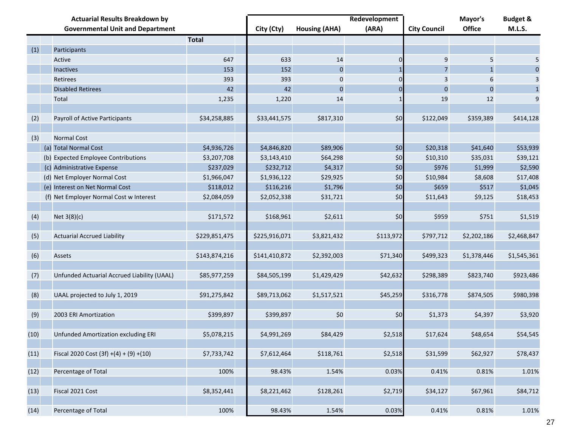| <b>Actuarial Results Breakdown by</b> |  |                                             |               | Redevelopment |                      | Mayor's        | <b>Budget &amp;</b> |                |              |
|---------------------------------------|--|---------------------------------------------|---------------|---------------|----------------------|----------------|---------------------|----------------|--------------|
|                                       |  | <b>Governmental Unit and Department</b>     |               | City (Cty)    | <b>Housing (AHA)</b> | (ARA)          | <b>City Council</b> | <b>Office</b>  | M.L.S.       |
|                                       |  |                                             | <b>Total</b>  |               |                      |                |                     |                |              |
| (1)                                   |  | Participants                                |               |               |                      |                |                     |                |              |
|                                       |  | Active                                      | 647           | 633           | 14                   | 0              | 9                   | 5              | 5            |
|                                       |  | <b>Inactives</b>                            | 153           | 152           | $\mathbf{0}$         |                | $\overline{7}$      |                | $\mathbf{0}$ |
|                                       |  | Retirees                                    | 393           | 393           | 0                    | 0              | 3                   | 6              | 3            |
|                                       |  | <b>Disabled Retirees</b>                    | 42            | 42            | $\mathbf{0}$         | $\overline{0}$ | $\mathbf 0$         | $\overline{0}$ | $\mathbf{1}$ |
|                                       |  | <b>Total</b>                                | 1,235         | 1,220         | 14                   |                | 19                  | 12             | 9            |
|                                       |  |                                             |               |               |                      |                |                     |                |              |
| (2)                                   |  | Payroll of Active Participants              | \$34,258,885  | \$33,441,575  | \$817,310            | \$0            | \$122,049           | \$359,389      | \$414,128    |
| (3)                                   |  | <b>Normal Cost</b>                          |               |               |                      |                |                     |                |              |
|                                       |  | (a) Total Normal Cost                       | \$4,936,726   | \$4,846,820   | \$89,906             | \$0            | \$20,318            | \$41,640       | \$53,939     |
|                                       |  | (b) Expected Employee Contributions         | \$3,207,708   | \$3,143,410   | \$64,298             | \$0            | \$10,310            | \$35,031       | \$39,121     |
|                                       |  | (c) Administrative Expense                  | \$237,029     | \$232,712     | \$4,317              | \$0            | \$976               | \$1,999        | \$2,590      |
|                                       |  | (d) Net Employer Normal Cost                | \$1,966,047   | \$1,936,122   | \$29,925             | \$0            | \$10,984            | \$8,608        | \$17,408     |
|                                       |  | (e) Interest on Net Normal Cost             | \$118,012     | \$116,216     | \$1,796              | \$0            | \$659               | \$517          | \$1,045      |
|                                       |  | (f) Net Employer Normal Cost w Interest     | \$2,084,059   | \$2,052,338   | \$31,721             | \$0            | \$11,643            | \$9,125        | \$18,453     |
|                                       |  |                                             |               |               |                      |                |                     |                |              |
| (4)                                   |  | Net 3(8)(c)                                 | \$171,572     | \$168,961     | \$2,611              | \$0            | \$959               | \$751          | \$1,519      |
|                                       |  |                                             |               |               |                      |                |                     |                |              |
| (5)                                   |  | <b>Actuarial Accrued Liability</b>          | \$229,851,475 | \$225,916,071 | \$3,821,432          | \$113,972      | \$797,712           | \$2,202,186    | \$2,468,847  |
|                                       |  |                                             |               |               |                      |                |                     |                |              |
| (6)                                   |  | Assets                                      | \$143,874,216 | \$141,410,872 | \$2,392,003          | \$71,340       | \$499,323           | \$1,378,446    | \$1,545,361  |
|                                       |  |                                             |               |               |                      |                |                     |                |              |
| (7)                                   |  | Unfunded Actuarial Accrued Liability (UAAL) | \$85,977,259  | \$84,505,199  | \$1,429,429          | \$42,632       | \$298,389           | \$823,740      | \$923,486    |
|                                       |  |                                             |               |               |                      |                |                     |                |              |
| (8)                                   |  | UAAL projected to July 1, 2019              | \$91,275,842  | \$89,713,062  | \$1,517,521          | \$45,259       | \$316,778           | \$874,505      | \$980,398    |
|                                       |  |                                             |               |               |                      |                |                     |                |              |
| (9)                                   |  | 2003 ERI Amortization                       | \$399,897     | \$399,897     | \$0                  | \$0            | \$1,373             | \$4,397        | \$3,920      |
|                                       |  |                                             |               |               |                      |                |                     |                |              |
| (10)                                  |  | Unfunded Amortization excluding ERI         | \$5,078,215   | \$4,991,269   | \$84,429             | \$2,518        | \$17,624            | \$48,654       | \$54,545     |
|                                       |  |                                             |               |               |                      |                |                     |                |              |
| (11)                                  |  | Fiscal 2020 Cost $(3f) + (4) + (9) + (10)$  | \$7,733,742   | \$7,612,464   | \$118,761            | \$2,518        | \$31,599            | \$62,927       | \$78,437     |
|                                       |  | Percentage of Total                         | 100%          |               |                      | 0.03%          |                     |                |              |
| (12)                                  |  |                                             |               | 98.43%        | 1.54%                |                | 0.41%               | 0.81%          | 1.01%        |
| (13)                                  |  | Fiscal 2021 Cost                            | \$8,352,441   | \$8,221,462   | \$128,261            | \$2,719        | \$34,127            | \$67,961       | \$84,712     |
|                                       |  |                                             |               |               |                      |                |                     |                |              |
| (14)                                  |  | Percentage of Total                         | 100%          | 98.43%        | 1.54%                | 0.03%          | 0.41%               | 0.81%          | 1.01%        |
|                                       |  |                                             |               |               |                      |                |                     |                |              |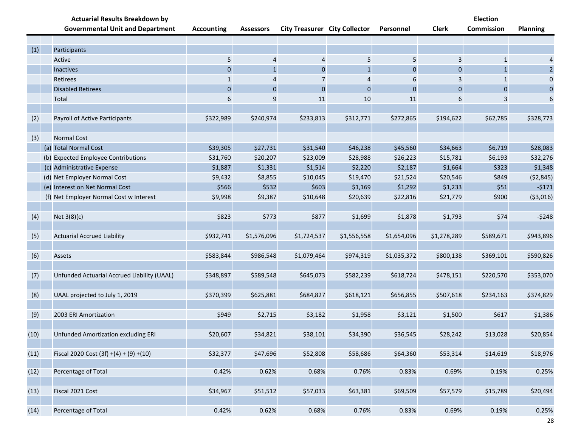|      | <b>Actuarial Results Breakdown by</b>       |                   |                  |                                      |                |             |              | <b>Election</b> |                 |
|------|---------------------------------------------|-------------------|------------------|--------------------------------------|----------------|-------------|--------------|-----------------|-----------------|
|      | <b>Governmental Unit and Department</b>     | <b>Accounting</b> | <b>Assessors</b> | <b>City Treasurer City Collector</b> |                | Personnel   | <b>Clerk</b> | Commission      | <b>Planning</b> |
|      |                                             |                   |                  |                                      |                |             |              |                 |                 |
| (1)  | Participants                                |                   |                  |                                      |                |             |              |                 |                 |
|      | Active                                      | 5                 | $\overline{4}$   | 4                                    | $\sqrt{5}$     | 5           | 3            | $\mathbf{1}$    |                 |
|      | Inactives                                   | $\boldsymbol{0}$  | $\mathbf{1}$     | $\mathbf{0}$                         | $\mathbf{1}$   | $\mathbf 0$ | $\mathbf{0}$ | $\mathbf{1}$    | 2               |
|      | Retirees                                    | 1                 | 4                | 7                                    | $\overline{4}$ | 6           | 3            | 1               | $\mathbf{0}$    |
|      | <b>Disabled Retirees</b>                    | $\pmb{0}$         | $\mathbf{0}$     | $\mathbf{0}$                         | $\mathbf{0}$   | $\mathbf 0$ | $\mathbf{0}$ | $\mathbf 0$     | $\mathbf{0}$    |
|      | Total                                       | 6                 | 9                | 11                                   | 10             | 11          | 6            | 3               | 6               |
| (2)  | Payroll of Active Participants              | \$322,989         | \$240,974        | \$233,813                            | \$312,771      | \$272,865   | \$194,622    | \$62,785        | \$328,773       |
| (3)  | <b>Normal Cost</b>                          |                   |                  |                                      |                |             |              |                 |                 |
|      | (a) Total Normal Cost                       | \$39,305          | \$27,731         | \$31,540                             | \$46,238       | \$45,560    | \$34,663     | \$6,719         | \$28,083        |
|      | (b) Expected Employee Contributions         | \$31,760          | \$20,207         | \$23,009                             | \$28,988       | \$26,223    | \$15,781     | \$6,193         | \$32,276        |
|      | (c) Administrative Expense                  | \$1,887           | \$1,331          | \$1,514                              | \$2,220        | \$2,187     | \$1,664      | \$323           | \$1,348         |
|      | (d) Net Employer Normal Cost                | \$9,432           | \$8,855          | \$10,045                             | \$19,470       | \$21,524    | \$20,546     | \$849           | (52, 845)       |
|      | (e) Interest on Net Normal Cost             | \$566             | \$532            | \$603                                | \$1,169        | \$1,292     | \$1,233      | \$51            | $-5171$         |
|      | (f) Net Employer Normal Cost w Interest     | \$9,998           | \$9,387          | \$10,648                             | \$20,639       | \$22,816    | \$21,779     | \$900           | ( \$3,016)      |
|      |                                             |                   |                  |                                      |                |             |              |                 |                 |
| (4)  | Net 3(8)(c)                                 | \$823             | \$773            | \$877                                | \$1,699        | \$1,878     | \$1,793      | \$74            | $-5248$         |
|      |                                             |                   |                  |                                      |                |             |              |                 |                 |
| (5)  | <b>Actuarial Accrued Liability</b>          | \$932,741         | \$1,576,096      | \$1,724,537                          | \$1,556,558    | \$1,654,096 | \$1,278,289  | \$589,671       | \$943,896       |
|      |                                             |                   |                  |                                      |                |             |              |                 |                 |
| (6)  | Assets                                      | \$583,844         | \$986,548        | \$1,079,464                          | \$974,319      | \$1,035,372 | \$800,138    | \$369,101       | \$590,826       |
|      |                                             |                   |                  |                                      |                |             |              |                 |                 |
| (7)  | Unfunded Actuarial Accrued Liability (UAAL) | \$348,897         | \$589,548        | \$645,073                            | \$582,239      | \$618,724   | \$478,151    | \$220,570       | \$353,070       |
|      |                                             |                   |                  |                                      |                |             |              |                 |                 |
| (8)  | UAAL projected to July 1, 2019              | \$370,399         | \$625,881        | \$684,827                            | \$618,121      | \$656,855   | \$507,618    | \$234,163       | \$374,829       |
| (9)  | 2003 ERI Amortization                       | \$949             | \$2,715          | \$3,182                              | \$1,958        | \$3,121     | \$1,500      | \$617           | \$1,386         |
|      |                                             |                   |                  |                                      |                |             |              |                 |                 |
| (10) | Unfunded Amortization excluding ERI         | \$20,607          | \$34,821         | \$38,101                             | \$34,390       | \$36,545    | \$28,242     | \$13,028        | \$20,854        |
|      |                                             |                   |                  |                                      |                |             |              |                 |                 |
| (11) | Fiscal 2020 Cost $(3f) + (4) + (9) + (10)$  | \$32,377          | \$47,696         | \$52,808                             | \$58,686       | \$64,360    | \$53,314     | \$14,619        | \$18,976        |
|      |                                             |                   |                  |                                      |                |             |              |                 |                 |
| (12) | Percentage of Total                         | 0.42%             | 0.62%            | 0.68%                                | 0.76%          | 0.83%       | 0.69%        | 0.19%           | 0.25%           |
|      |                                             | \$34,967          | \$51,512         |                                      | \$63,381       |             |              |                 |                 |
| (13) | Fiscal 2021 Cost                            |                   |                  | \$57,033                             |                | \$69,509    | \$57,579     | \$15,789        | \$20,494        |
| (14) | Percentage of Total                         | 0.42%             | 0.62%            | 0.68%                                | 0.76%          | 0.83%       | 0.69%        | 0.19%           | 0.25%           |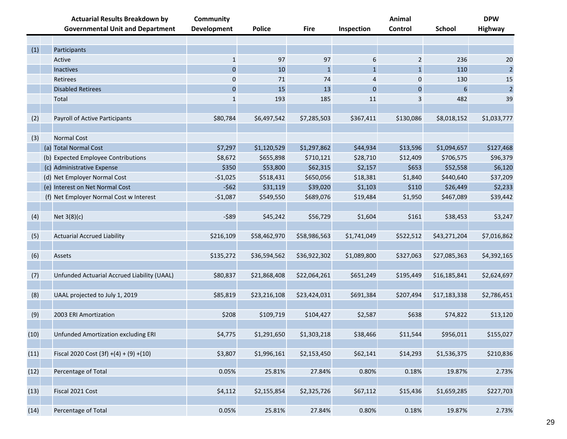|      | <b>Actuarial Results Breakdown by</b><br><b>Governmental Unit and Department</b> | <b>Community</b><br><b>Development</b> | <b>Police</b> | <b>Fire</b>  | Inspection   | Animal<br>Control | <b>School</b>    | <b>DPW</b><br><b>Highway</b> |
|------|----------------------------------------------------------------------------------|----------------------------------------|---------------|--------------|--------------|-------------------|------------------|------------------------------|
|      |                                                                                  |                                        |               |              |              |                   |                  |                              |
| (1)  | Participants                                                                     |                                        |               |              |              |                   |                  |                              |
|      | Active                                                                           | $\mathbf{1}$                           | 97            | 97           | 6            | $\overline{2}$    | 236              | 20                           |
|      | Inactives                                                                        | $\mathbf 0$                            | 10            | $\mathbf{1}$ | $\mathbf{1}$ | $\mathbf{1}$      | 110              | $\overline{2}$               |
|      | Retirees                                                                         | 0                                      | 71            | 74           | 4            | 0                 | 130              | 15                           |
|      | <b>Disabled Retirees</b>                                                         | $\mathbf{0}$                           | 15            | 13           | $\mathbf 0$  | $\pmb{0}$         | $\boldsymbol{6}$ | $\overline{2}$               |
|      | Total                                                                            | $\mathbf{1}$                           | 193           | 185          | $11\,$       | 3                 | 482              | 39                           |
|      |                                                                                  |                                        |               |              |              |                   |                  |                              |
| (2)  | Payroll of Active Participants                                                   | \$80,784                               | \$6,497,542   | \$7,285,503  | \$367,411    | \$130,086         | \$8,018,152      | \$1,033,777                  |
|      |                                                                                  |                                        |               |              |              |                   |                  |                              |
| (3)  | <b>Normal Cost</b>                                                               |                                        |               |              |              |                   |                  |                              |
|      | (a) Total Normal Cost                                                            | \$7,297                                | \$1,120,529   | \$1,297,862  | \$44,934     | \$13,596          | \$1,094,657      | \$127,468                    |
|      | (b) Expected Employee Contributions                                              | \$8,672                                | \$655,898     | \$710,121    | \$28,710     | \$12,409          | \$706,575        | \$96,379                     |
|      | (c) Administrative Expense                                                       | \$350                                  | \$53,800      | \$62,315     | \$2,157      | \$653             | \$52,558         | \$6,120                      |
|      | (d) Net Employer Normal Cost                                                     | $-$1,025$                              | \$518,431     | \$650,056    | \$18,381     | \$1,840           | \$440,640        | \$37,209                     |
|      | (e) Interest on Net Normal Cost                                                  | $-562$                                 | \$31,119      | \$39,020     | \$1,103      | \$110             | \$26,449         | \$2,233                      |
|      | (f) Net Employer Normal Cost w Interest                                          | $-$1,087$                              | \$549,550     | \$689,076    | \$19,484     | \$1,950           | \$467,089        | \$39,442                     |
|      |                                                                                  |                                        |               |              |              |                   |                  |                              |
| (4)  | Net $3(8)(c)$                                                                    | $-589$                                 | \$45,242      | \$56,729     | \$1,604      | \$161             | \$38,453         | \$3,247                      |
|      |                                                                                  |                                        |               |              |              |                   |                  |                              |
| (5)  | <b>Actuarial Accrued Liability</b>                                               | \$216,109                              | \$58,462,970  | \$58,986,563 | \$1,741,049  | \$522,512         | \$43,271,204     | \$7,016,862                  |
|      |                                                                                  |                                        |               |              |              |                   |                  |                              |
| (6)  | Assets                                                                           | \$135,272                              | \$36,594,562  | \$36,922,302 | \$1,089,800  | \$327,063         | \$27,085,363     | \$4,392,165                  |
|      |                                                                                  |                                        |               |              |              |                   |                  |                              |
| (7)  | Unfunded Actuarial Accrued Liability (UAAL)                                      | \$80,837                               | \$21,868,408  | \$22,064,261 | \$651,249    | \$195,449         | \$16,185,841     | \$2,624,697                  |
| (8)  | UAAL projected to July 1, 2019                                                   | \$85,819                               | \$23,216,108  | \$23,424,031 | \$691,384    | \$207,494         | \$17,183,338     | \$2,786,451                  |
|      |                                                                                  |                                        |               |              |              |                   |                  |                              |
| (9)  | 2003 ERI Amortization                                                            | \$208                                  | \$109,719     | \$104,427    | \$2,587      | \$638             | \$74,822         | \$13,120                     |
|      |                                                                                  |                                        |               |              |              |                   |                  |                              |
| (10) | Unfunded Amortization excluding ERI                                              | \$4,775                                | \$1,291,650   | \$1,303,218  | \$38,466     | \$11,544          | \$956,011        | \$155,027                    |
|      |                                                                                  |                                        |               |              |              |                   |                  |                              |
| (11) | Fiscal 2020 Cost $(3f) + (4) + (9) + (10)$                                       | \$3,807                                | \$1,996,161   | \$2,153,450  | \$62,141     | \$14,293          | \$1,536,375      | \$210,836                    |
|      |                                                                                  |                                        |               |              |              |                   |                  |                              |
| (12) | Percentage of Total                                                              | 0.05%                                  | 25.81%        | 27.84%       | 0.80%        | 0.18%             | 19.87%           | 2.73%                        |
|      |                                                                                  |                                        |               |              |              |                   |                  |                              |
| (13) | Fiscal 2021 Cost                                                                 | \$4,112                                | \$2,155,854   | \$2,325,726  | \$67,112     | \$15,436          | \$1,659,285      | \$227,703                    |
|      |                                                                                  |                                        |               |              |              |                   |                  |                              |
| (14) | Percentage of Total                                                              | 0.05%                                  | 25.81%        | 27.84%       | 0.80%        | 0.18%             | 19.87%           | 2.73%                        |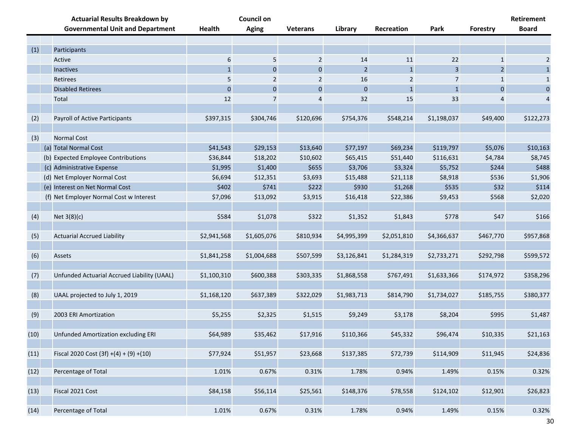|      | <b>Actuarial Results Breakdown by</b>       |               | <b>Council on</b> |                 |              |              |              |                | Retirement     |
|------|---------------------------------------------|---------------|-------------------|-----------------|--------------|--------------|--------------|----------------|----------------|
|      | <b>Governmental Unit and Department</b>     | <b>Health</b> | <b>Aging</b>      | <b>Veterans</b> | Library      | Recreation   | Park         | Forestry       | <b>Board</b>   |
|      |                                             |               |                   |                 |              |              |              |                |                |
| (1)  | Participants                                |               |                   |                 |              |              |              |                |                |
|      | Active                                      | 6             | 5                 | $\overline{2}$  | 14           | 11           | 22           | $\mathbf{1}$   | $\overline{2}$ |
|      | Inactives                                   | $\mathbf{1}$  | 0                 | $\mathbf 0$     | 2            | $\mathbf{1}$ | 3            | $\overline{2}$ | $\mathbf{1}$   |
|      | Retirees                                    | 5             | 2                 | 2               | 16           | 2            | 7            | 1              | $\mathbf{1}$   |
|      | <b>Disabled Retirees</b>                    | $\pmb{0}$     | $\pmb{0}$         | $\mathbf 0$     | $\mathbf{0}$ | $\mathbf{1}$ | $\mathbf{1}$ | $\mathbf{0}$   | $\bf 0$        |
|      | Total                                       | 12            | 7                 | 4               | 32           | 15           | 33           |                | 4              |
| (2)  | Payroll of Active Participants              | \$397,315     | \$304,746         | \$120,696       | \$754,376    | \$548,214    | \$1,198,037  | \$49,400       | \$122,273      |
| (3)  | Normal Cost                                 |               |                   |                 |              |              |              |                |                |
|      | (a) Total Normal Cost                       | \$41,543      | \$29,153          | \$13,640        | \$77,197     | \$69,234     | \$119,797    | \$5,076        | \$10,163       |
|      | (b) Expected Employee Contributions         | \$36,844      | \$18,202          | \$10,602        | \$65,415     | \$51,440     | \$116,631    | \$4,784        | \$8,745        |
|      | (c) Administrative Expense                  | \$1,995       | \$1,400           | \$655           | \$3,706      | \$3,324      | \$5,752      | \$244          | \$488          |
|      | (d) Net Employer Normal Cost                | \$6,694       | \$12,351          | \$3,693         | \$15,488     | \$21,118     | \$8,918      | \$536          | \$1,906        |
|      | (e) Interest on Net Normal Cost             | \$402         | \$741             | \$222           | \$930        | \$1,268      | \$535        | \$32           | \$114          |
|      | (f) Net Employer Normal Cost w Interest     | \$7,096       | \$13,092          | \$3,915         | \$16,418     | \$22,386     | \$9,453      | \$568          | \$2,020        |
|      |                                             |               |                   |                 |              |              |              |                |                |
| (4)  | Net 3(8)(c)                                 | \$584         | \$1,078           | \$322           | \$1,352      | \$1,843      | \$778        | \$47           | \$166          |
| (5)  | <b>Actuarial Accrued Liability</b>          | \$2,941,568   | \$1,605,076       | \$810,934       | \$4,995,399  | \$2,051,810  | \$4,366,637  | \$467,770      | \$957,868      |
|      |                                             |               |                   |                 |              |              |              |                |                |
| (6)  | Assets                                      | \$1,841,258   | \$1,004,688       | \$507,599       | \$3,126,841  | \$1,284,319  | \$2,733,271  | \$292,798      | \$599,572      |
|      |                                             |               |                   |                 |              |              |              |                |                |
| (7)  | Unfunded Actuarial Accrued Liability (UAAL) | \$1,100,310   | \$600,388         | \$303,335       | \$1,868,558  | \$767,491    | \$1,633,366  | \$174,972      | \$358,296      |
|      |                                             |               |                   |                 |              |              |              |                |                |
| (8)  | UAAL projected to July 1, 2019              | \$1,168,120   | \$637,389         | \$322,029       | \$1,983,713  | \$814,790    | \$1,734,027  | \$185,755      | \$380,377      |
| (9)  | 2003 ERI Amortization                       | \$5,255       | \$2,325           | \$1,515         | \$9,249      | \$3,178      | \$8,204      | \$995          | \$1,487        |
|      |                                             |               |                   |                 |              |              |              |                |                |
| (10) | Unfunded Amortization excluding ERI         | \$64,989      | \$35,462          | \$17,916        | \$110,366    | \$45,332     | \$96,474     | \$10,335       | \$21,163       |
| (11) | Fiscal 2020 Cost $(3f) + (4) + (9) + (10)$  | \$77,924      | \$51,957          | \$23,668        | \$137,385    | \$72,739     | \$114,909    | \$11,945       | \$24,836       |
|      |                                             |               |                   |                 |              |              |              |                |                |
| (12) | Percentage of Total                         | 1.01%         | 0.67%             | 0.31%           | 1.78%        | 0.94%        | 1.49%        | 0.15%          | 0.32%          |
| (13) | Fiscal 2021 Cost                            | \$84,158      | \$56,114          | \$25,561        | \$148,376    | \$78,558     | \$124,102    | \$12,901       | \$26,823       |
|      |                                             |               |                   |                 |              |              |              |                |                |
| (14) | Percentage of Total                         | 1.01%         | 0.67%             | 0.31%           | 1.78%        | 0.94%        | 1.49%        | 0.15%          | 0.32%          |